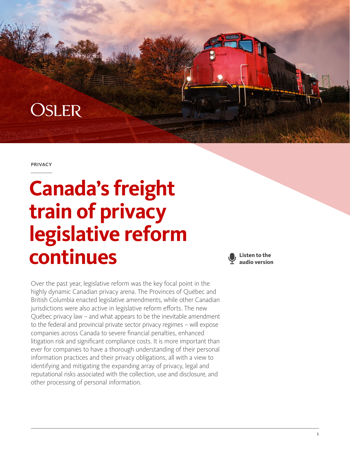## **OSLER**

**PRIVACY** 

# **Canada's freight train of privacy legislative reform continues**

Over the past year, legislative reform was the key focal point in the highly dynamic Canadian privacy arena. The Provinces of Québec and British Columbia enacted legislative amendments, while other Canadian jurisdictions were also active in legislative reform efforts. The new Québec privacy law – and what appears to be the inevitable amendment to the federal and provincial private sector privacy regimes – will expose companies across Canada to severe financial penalties, enhanced litigation risk and significant compliance costs. It is more important than ever for companies to have a thorough understanding of their personal information practices and their privacy obligations, all with a view to identifying and mitigating the expanding array of privacy, legal and reputational risks associated with the collection, use and disclosure, and other processing of personal information.

**Listen to the audio version**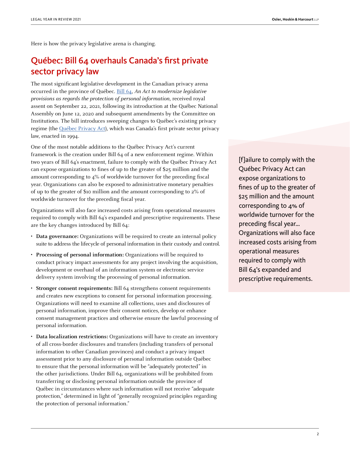Here is how the privacy legislative arena is changing.

## Québec: Bill 64 overhauls Canada's first private sector privacy law

The most significant legislative development in the Canadian privacy arena occurred in the province of Québec. [Bill 64,](http://www.assnat.qc.ca/en/travaux-parlementaires/projets-loi/projet-loi-64-42-1.html) An Act to modernize legislative provisions as regards the protection of personal information, received royal assent on September 22, 2021, following its introduction at the Québec National Assembly on June 12, 2020 and subsequent amendments by the Committee on Institutions. The bill introduces sweeping changes to Québec's existing privacy regime (the [Québec Privacy Act\)](https://www.canlii.org/en/qc/laws/stat/rsq-c-p-39.1/latest/rsq-c-p-39.1.html), which was Canada's first private sector privacy law, enacted in 1994.

One of the most notable additions to the Québec Privacy Act's current framework is the creation under Bill 64 of a new enforcement regime. Within two years of Bill 64's enactment, failure to comply with the Québec Privacy Act can expose organizations to fines of up to the greater of \$25 million and the amount corresponding to 4% of worldwide turnover for the preceding fiscal year. Organizations can also be exposed to administrative monetary penalties of up to the greater of \$10 million and the amount corresponding to 2% of worldwide turnover for the preceding fiscal year.

Organizations will also face increased costs arising from operational measures required to comply with Bill 64's expanded and prescriptive requirements. These are the key changes introduced by Bill 64:

- **Data governance:** Organizations will be required to create an internal policy suite to address the lifecycle of personal information in their custody and control.
- **Processing of personal information:** Organizations will be required to conduct privacy impact assessments for any project involving the acquisition, development or overhaul of an information system or electronic service delivery system involving the processing of personal information.
- **Stronger consent requirements:** Bill 64 strengthens consent requirements and creates new exceptions to consent for personal information processing. Organizations will need to examine all collections, uses and disclosures of personal information, improve their consent notices, develop or enhance consent management practices and otherwise ensure the lawful processing of personal information.
- **Data localization restrictions:** Organizations will have to create an inventory of all cross-border disclosures and transfers (including transfers of personal information to other Canadian provinces) and conduct a privacy impact assessment prior to any disclosure of personal information outside Québec to ensure that the personal information will be "adequately protected" in the other jurisdictions. Under Bill 64, organizations will be prohibited from transferring or disclosing personal information outside the province of Québec in circumstances where such information will not receive "adequate protection," determined in light of "generally recognized principles regarding the protection of personal information."

[f]ailure to comply with the Québec Privacy Act can expose organizations to fines of up to the greater of \$25 million and the amount corresponding to 4% of worldwide turnover for the preceding fiscal year… Organizations will also face increased costs arising from operational measures required to comply with Bill 64's expanded and prescriptive requirements.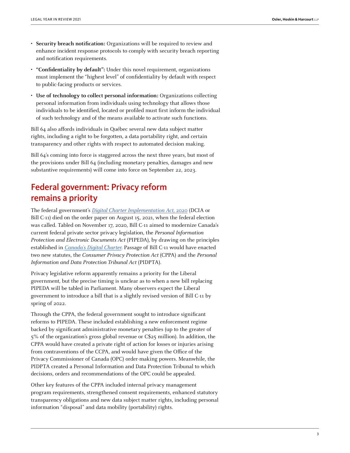- **Security breach notification:** Organizations will be required to review and enhance incident response protocols to comply with security breach reporting and notification requirements.
- **"Confidentiality by default":** Under this novel requirement, organizations must implement the "highest level" of confidentiality by default with respect to public-facing products or services.
- **Use of technology to collect personal information:** Organizations collecting personal information from individuals using technology that allows those individuals to be identified, located or profiled must first inform the individual of such technology and of the means available to activate such functions.

Bill 64 also affords individuals in Québec several new data subject matter rights, including a right to be forgotten, a data portability right, and certain transparency and other rights with respect to automated decision making.

Bill 64's coming into force is staggered across the next three years, but most of the provisions under Bill 64 (including monetary penalties, damages and new substantive requirements) will come into force on September 22, 2023.

## Federal government: Privacy reform remains a priority

The federal government's [Digital Charter Implementation Act,](https://parl.ca/DocumentViewer/en/43-2/bill/C-11/first-reading) 2020 (DCIA or Bill C-11) died on the order paper on August 15, 2021, when the federal election was called. Tabled on November 17, 2020, Bill C-11 aimed to modernize Canada's current federal private sector privacy legislation, the Personal Information Protection and Electronic Documents Act (PIPEDA), by drawing on the principles established in [Canada's Digital Charter](https://www.ic.gc.ca/eic/site/062.nsf/vwapj/Digitalcharter_Report_EN.pdf/$file/Digitalcharter_Report_EN.pdf). Passage of Bill C-11 would have enacted two new statutes, the Consumer Privacy Protection Act (CPPA) and the Personal Information and Data Protection Tribunal Act (PIDPTA).

Privacy legislative reform apparently remains a priority for the Liberal government, but the precise timing is unclear as to when a new bill replacing PIPEDA will be tabled in Parliament. Many observers expect the Liberal government to introduce a bill that is a slightly revised version of Bill C-11 by spring of 2022.

Through the CPPA, the federal government sought to introduce significant reforms to PIPEDA. These included establishing a new enforcement regime backed by significant administrative monetary penalties (up to the greater of 5% of the organization's gross global revenue or C\$25 million). In addition, the CPPA would have created a private right of action for losses or injuries arising from contraventions of the CCPA, and would have given the Office of the Privacy Commissioner of Canada (OPC) order-making powers. Meanwhile, the PIDPTA created a Personal Information and Data Protection Tribunal to which decisions, orders and recommendations of the OPC could be appealed.

Other key features of the CPPA included internal privacy management program requirements, strengthened consent requirements, enhanced statutory transparency obligations and new data subject matter rights, including personal information "disposal" and data mobility (portability) rights.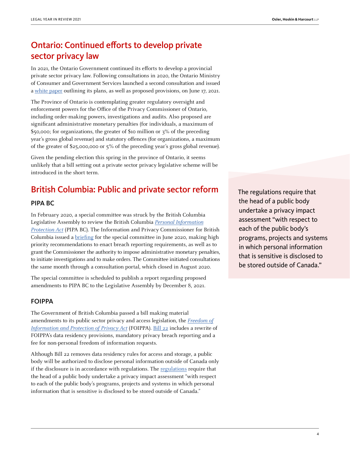## Ontario: Continued efforts to develop private sector privacy law

In 2021, the Ontario Government continued its efforts to develop a provincial private sector privacy law. Following consultations in 2020, the Ontario Ministry of Consumer and Government Services launched a second consultation and issued a [white paper](https://www.ontariocanada.com/registry/showAttachment.do?postingId=37468&attachmentId=49462) outlining its plans, as well as proposed provisions, on June 17, 2021.

The Province of Ontario is contemplating greater regulatory oversight and enforcement powers for the Office of the Privacy Commissioner of Ontario, including order-making powers, investigations and audits. Also proposed are significant administrative monetary penalties (for individuals, a maximum of \$50,000; for organizations, the greater of \$10 million or 3% of the preceding year's gross global revenue) and statutory offences (for organizations, a maximum of the greater of \$25,000,000 or 5% of the preceding year's gross global revenue).

Given the pending election this spring in the province of Ontario, it seems unlikely that a bill setting out a private sector privacy legislative scheme will be introduced in the short term.

## British Columbia: Public and private sector reform

#### PIPA BC

In February 2020, a special committee was struck by the British Columbia Legislative Assembly to review the British Columbia [Personal Information](https://www.bclaws.gov.bc.ca/civix/document/id/complete/statreg/03063_01) [Protection Act](https://www.bclaws.gov.bc.ca/civix/document/id/complete/statreg/03063_01) (PIPA BC). The Information and Privacy Commissioner for British Columbia issued a [briefing](https://www.oipc.bc.ca/special-reports/2426) for the special committee in June 2020, making high priority recommendations to enact breach reporting requirements, as well as to grant the Commissioner the authority to impose administrative monetary penalties, to initiate investigations and to make orders. The Committee initiated consultations the same month through a consultation portal, which closed in August 2020.

The special committee is scheduled to publish a report regarding proposed amendments to PIPA BC to the Legislative Assembly by December 8, 2021.

#### FOIPPA

The Government of British Columbia passed a bill making material amendments to its public sector privacy and access legislation, the [Freedom of](https://www.canlii.org/en/bc/laws/stat/rsbc-1996-c-165/189783/rsbc-1996-c-165.html) [Information and Protection of Privacy Act](https://www.canlii.org/en/bc/laws/stat/rsbc-1996-c-165/189783/rsbc-1996-c-165.html) (FOIPPA). [Bill 22](https://www.leg.bc.ca/parliamentary-business/legislation-debates-proceedings/42nd-parliament/2nd-session/bills/third-reading/gov22-3) includes a rewrite of FOIPPA's data residency provisions, mandatory privacy breach reporting and a fee for non-personal freedom of information requests.

Although Bill 22 removes data residency rules for access and storage, a public body will be authorized to disclose personal information outside of Canada only if the disclosure is in accordance with regulations. The [regulations](https://www.bclaws.gov.bc.ca/civix/document/id/mo/mo/m0462_2021) require that the head of a public body undertake a privacy impact assessment "with respect to each of the public body's programs, projects and systems in which personal information that is sensitive is disclosed to be stored outside of Canada."

The regulations require that the head of a public body undertake a privacy impact assessment "with respect to each of the public body's programs, projects and systems in which personal information that is sensitive is disclosed to be stored outside of Canada."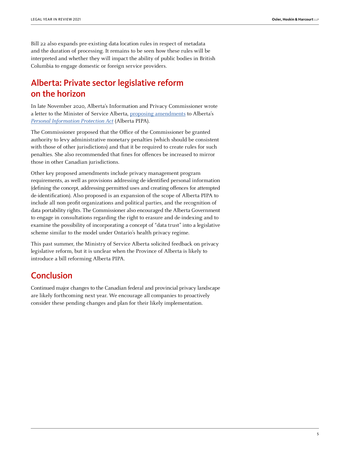Bill 22 also expands pre-existing data location rules in respect of metadata and the duration of processing. It remains to be seen how these rules will be interpreted and whether they will impact the ability of public bodies in British Columbia to engage domestic or foreign service providers.

## Alberta: Private sector legislative reform on the horizon

In late November 2020, Alberta's Information and Privacy Commissioner wrote a letter to the Minister of Service Alberta, [proposing amendments](https://www.oipc.ab.ca/media/1118979/letter_minister_glubish_foip_pipa_recommendations_nov2020.pdf) to Alberta's [Personal Information Protection Act](https://www.canlii.org/en/ab/laws/stat/sa-2003-c-p-6.5/latest/sa-2003-c-p-6.5.html) (Alberta PIPA).

The Commissioner proposed that the Office of the Commissioner be granted authority to levy administrative monetary penalties (which should be consistent with those of other jurisdictions) and that it be required to create rules for such penalties. She also recommended that fines for offences be increased to mirror those in other Canadian jurisdictions.

Other key proposed amendments include privacy management program requirements, as well as provisions addressing de-identified personal information (defining the concept, addressing permitted uses and creating offences for attempted de-identification). Also proposed is an expansion of the scope of Alberta PIPA to include all non-profit organizations and political parties, and the recognition of data portability rights. The Commissioner also encouraged the Alberta Government to engage in consultations regarding the right to erasure and de-indexing and to examine the possibility of incorporating a concept of "data trust" into a legislative scheme similar to the model under Ontario's health privacy regime.

This past summer, the Ministry of Service Alberta solicited feedback on privacy legislative reform, but it is unclear when the Province of Alberta is likely to introduce a bill reforming Alberta PIPA.

### **Conclusion**

Continued major changes to the Canadian federal and provincial privacy landscape are likely forthcoming next year. We encourage all companies to proactively consider these pending changes and plan for their likely implementation.